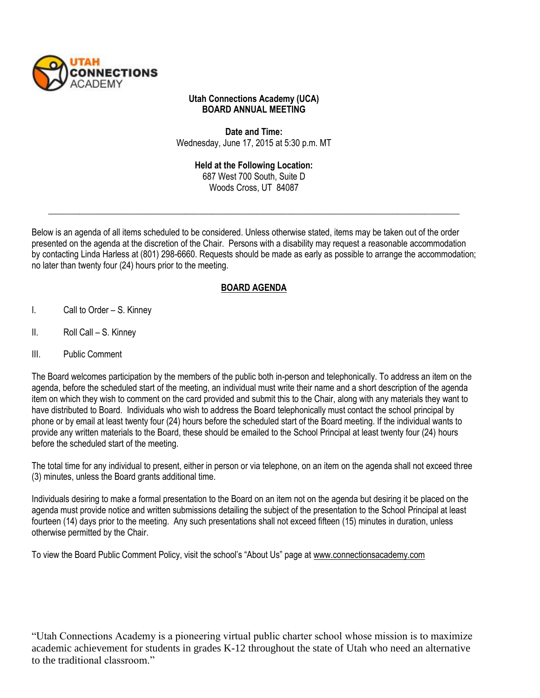

## **Utah Connections Academy (UCA) BOARD ANNUAL MEETING**

**Date and Time:**  Wednesday, June 17, 2015 at 5:30 p.m. MT

> **Held at the Following Location:**  687 West 700 South, Suite D Woods Cross, UT 84087

\_\_\_\_\_\_\_\_\_\_\_\_\_\_\_\_\_\_\_\_\_\_\_\_\_\_\_\_\_\_\_\_\_\_\_\_\_\_\_\_\_\_\_\_\_\_\_\_\_\_\_\_\_\_\_\_\_\_\_\_\_\_\_\_\_\_\_\_\_\_\_\_\_\_\_\_\_\_\_\_\_\_\_\_\_\_\_\_\_\_\_\_\_

Below is an agenda of all items scheduled to be considered. Unless otherwise stated, items may be taken out of the order presented on the agenda at the discretion of the Chair. Persons with a disability may request a reasonable accommodation by contacting Linda Harless at (801) 298-6660. Requests should be made as early as possible to arrange the accommodation; no later than twenty four (24) hours prior to the meeting.

## **BOARD AGENDA**

- I. Call to Order S. Kinney
- II. Roll Call S. Kinney
- III. Public Comment

The Board welcomes participation by the members of the public both in-person and telephonically. To address an item on the agenda, before the scheduled start of the meeting, an individual must write their name and a short description of the agenda item on which they wish to comment on the card provided and submit this to the Chair, along with any materials they want to have distributed to Board. Individuals who wish to address the Board telephonically must contact the school principal by phone or by email at least twenty four (24) hours before the scheduled start of the Board meeting. If the individual wants to provide any written materials to the Board, these should be emailed to the School Principal at least twenty four (24) hours before the scheduled start of the meeting.

The total time for any individual to present, either in person or via telephone, on an item on the agenda shall not exceed three (3) minutes, unless the Board grants additional time.

Individuals desiring to make a formal presentation to the Board on an item not on the agenda but desiring it be placed on the agenda must provide notice and written submissions detailing the subject of the presentation to the School Principal at least fourteen (14) days prior to the meeting. Any such presentations shall not exceed fifteen (15) minutes in duration, unless otherwise permitted by the Chair.

To view the Board Public Comment Policy, visit the school's "About Us" page at [www.connectionsacademy.com](http://www.connectionsacademy.com/)

"Utah Connections Academy is a pioneering virtual public charter school whose mission is to maximize academic achievement for students in grades K-12 throughout the state of Utah who need an alternative to the traditional classroom."